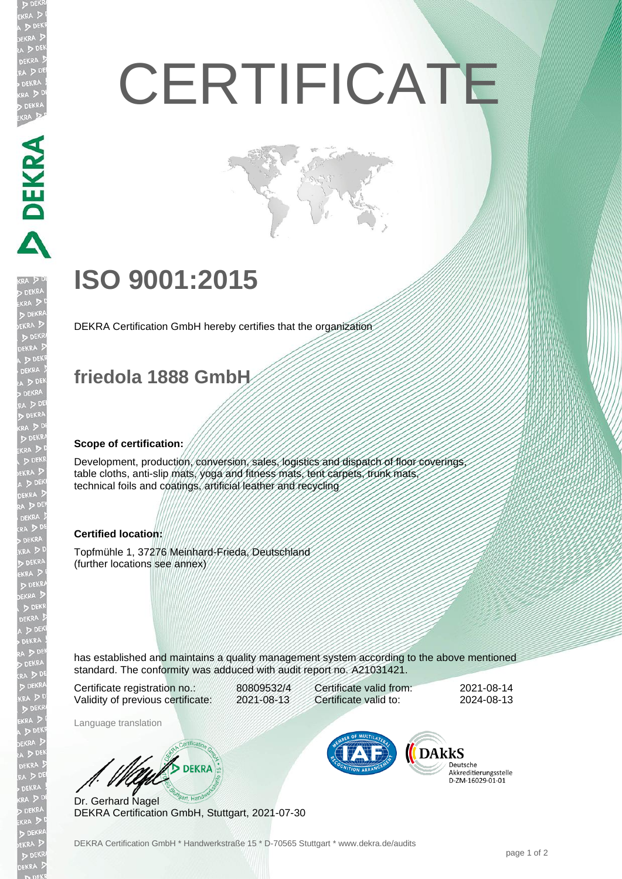# **CERTIFICATE**

## **ISO 9001:2015**

DEKRA Certification GmbH hereby certifies that the organization

### **friedola 1888 GmbH**

#### **Scope of certification:**

**MANERS** 

Development, production, conversion, sales, logistics and dispatch of floor coverings, table cloths, anti-slip mats, yoga and fitness mats, tent carpets, trunk mats, technical foils and coatings, artificial leather and recycling

#### **Certified location:**

Topfmühle 1, 37276 Meinhard-Frieda, Deutschland (further locations see annex)

has established and maintains a quality management system according to the above mentioned standard. The conformity was adduced with audit report no. A21031421.

Certificate registration no.: 80809532/4 Validity of previous certificate: 2021-08-13

Certificate valid from: 2021-08-14 Certificate valid to: 2024-08-13

Language translation

**BEKRA** 

Dr. Gerhard Nagel DEKRA Certification GmbH, Stuttgart, 2021-07-30



Deutsche Akkreditierungsstelle